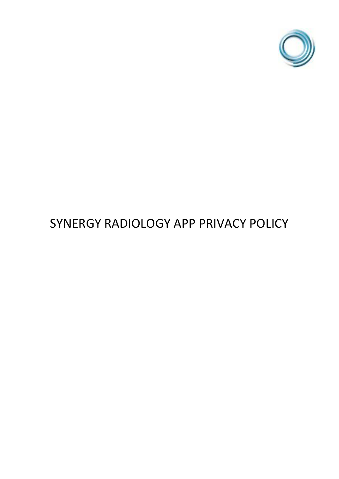

# SYNERGY RADIOLOGY APP PRIVACY POLICY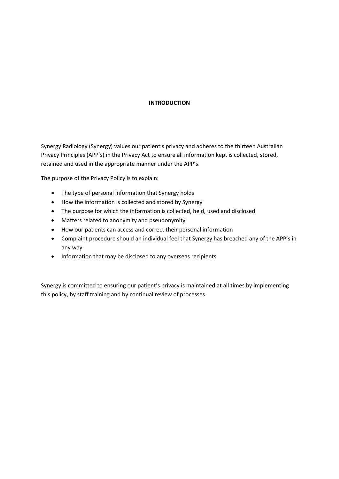## **INTRODUCTION**

Synergy Radiology (Synergy) values our patient's privacy and adheres to the thirteen Australian Privacy Principles (APP's) in the Privacy Act to ensure all information kept is collected, stored, retained and used in the appropriate manner under the APP's.

The purpose of the Privacy Policy is to explain:

- The type of personal information that Synergy holds
- How the information is collected and stored by Synergy
- The purpose for which the information is collected, held, used and disclosed
- Matters related to anonymity and pseudonymity
- How our patients can access and correct their personal information
- Complaint procedure should an individual feel that Synergy has breached any of the APP's in any way
- Information that may be disclosed to any overseas recipients

Synergy is committed to ensuring our patient's privacy is maintained at all times by implementing this policy, by staff training and by continual review of processes.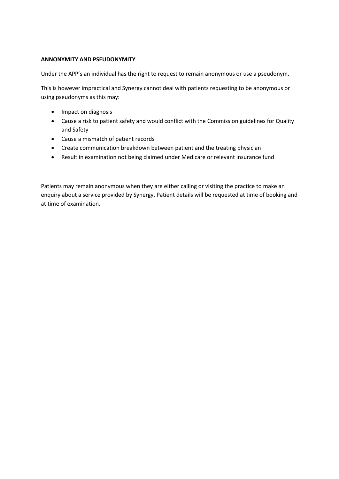## **ANNONYMITY AND PSEUDONYMITY**

Under the APP's an individual has the right to request to remain anonymous or use a pseudonym.

This is however impractical and Synergy cannot deal with patients requesting to be anonymous or using pseudonyms as this may:

- Impact on diagnosis
- Cause a risk to patient safety and would conflict with the Commission guidelines for Quality and Safety
- Cause a mismatch of patient records
- Create communication breakdown between patient and the treating physician
- Result in examination not being claimed under Medicare or relevant insurance fund

Patients may remain anonymous when they are either calling or visiting the practice to make an enquiry about a service provided by Synergy. Patient details will be requested at time of booking and at time of examination.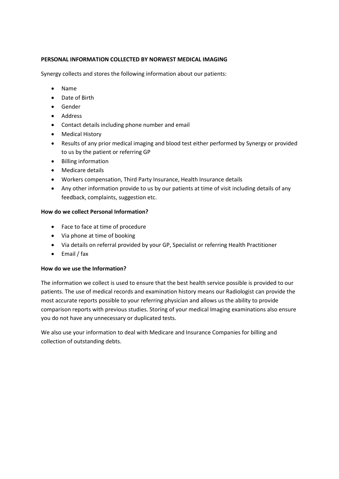# **PERSONAL INFORMATION COLLECTED BY NORWEST MEDICAL IMAGING**

Synergy collects and stores the following information about our patients:

- Name
- Date of Birth
- Gender
- Address
- Contact details including phone number and email
- Medical History
- Results of any prior medical imaging and blood test either performed by Synergy or provided to us by the patient or referring GP
- Billing information
- Medicare details
- Workers compensation, Third Party Insurance, Health Insurance details
- Any other information provide to us by our patients at time of visit including details of any feedback, complaints, suggestion etc.

#### **How do we collect Personal Information?**

- Face to face at time of procedure
- Via phone at time of booking
- Via details on referral provided by your GP, Specialist or referring Health Practitioner
- Email / fax

#### **How do we use the Information?**

The information we collect is used to ensure that the best health service possible is provided to our patients. The use of medical records and examination history means our Radiologist can provide the most accurate reports possible to your referring physician and allows us the ability to provide comparison reports with previous studies. Storing of your medical Imaging examinations also ensure you do not have any unnecessary or duplicated tests.

We also use your information to deal with Medicare and Insurance Companies for billing and collection of outstanding debts.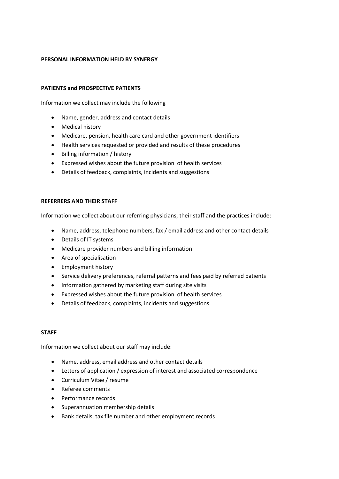## **PERSONAL INFORMATION HELD BY SYNERGY**

#### **PATIENTS and PROSPECTIVE PATIENTS**

Information we collect may include the following

- Name, gender, address and contact details
- Medical history
- Medicare, pension, health care card and other government identifiers
- Health services requested or provided and results of these procedures
- Billing information / history
- Expressed wishes about the future provision of health services
- Details of feedback, complaints, incidents and suggestions

#### **REFERRERS AND THEIR STAFF**

Information we collect about our referring physicians, their staff and the practices include:

- Name, address, telephone numbers, fax / email address and other contact details
- Details of IT systems
- Medicare provider numbers and billing information
- Area of specialisation
- Employment history
- Service delivery preferences, referral patterns and fees paid by referred patients
- Information gathered by marketing staff during site visits
- Expressed wishes about the future provision of health services
- Details of feedback, complaints, incidents and suggestions

#### **STAFF**

Information we collect about our staff may include:

- Name, address, email address and other contact details
- Letters of application / expression of interest and associated correspondence
- Curriculum Vitae / resume
- Referee comments
- Performance records
- Superannuation membership details
- Bank details, tax file number and other employment records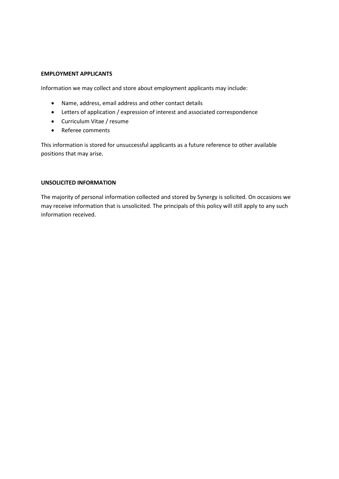#### **EMPLOYMENT APPLICANTS**

Information we may collect and store about employment applicants may include:

- Name, address, email address and other contact details
- Letters of application / expression of interest and associated correspondence
- Curriculum Vitae / resume
- Referee comments

This information is stored for unsuccessful applicants as a future reference to other available positions that may arise.

#### **UNSOLICITED INFORMATION**

The majority of personal information collected and stored by Synergy is solicited. On occasions we may receive information that is unsolicited. The principals of this policy will still apply to any such information received.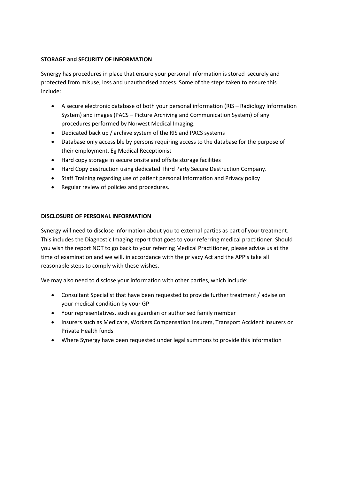# **STORAGE and SECURITY OF INFORMATION**

Synergy has procedures in place that ensure your personal information is stored securely and protected from misuse, loss and unauthorised access. Some of the steps taken to ensure this include:

- A secure electronic database of both your personal information (RIS Radiology Information System) and images (PACS – Picture Archiving and Communication System) of any procedures performed by Norwest Medical Imaging.
- Dedicated back up / archive system of the RIS and PACS systems
- Database only accessible by persons requiring access to the database for the purpose of their employment. Eg Medical Receptionist
- Hard copy storage in secure onsite and offsite storage facilities
- Hard Copy destruction using dedicated Third Party Secure Destruction Company.
- Staff Training regarding use of patient personal information and Privacy policy
- Regular review of policies and procedures.

# **DISCLOSURE OF PERSONAL INFORMATION**

Synergy will need to disclose information about you to external parties as part of your treatment. This includes the Diagnostic Imaging report that goes to your referring medical practitioner. Should you wish the report NOT to go back to your referring Medical Practitioner, please advise us at the time of examination and we will, in accordance with the privacy Act and the APP's take all reasonable steps to comply with these wishes.

We may also need to disclose your information with other parties, which include:

- Consultant Specialist that have been requested to provide further treatment / advise on your medical condition by your GP
- Your representatives, such as guardian or authorised family member
- Insurers such as Medicare, Workers Compensation Insurers, Transport Accident Insurers or Private Health funds
- Where Synergy have been requested under legal summons to provide this information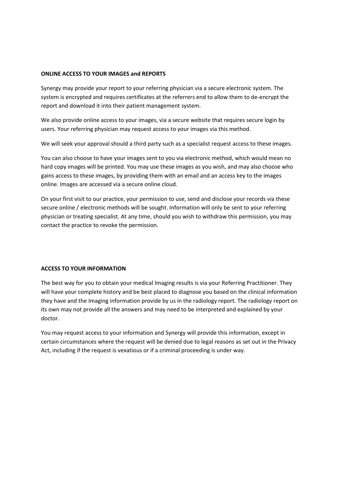## **ONLINE ACCESS TO YOUR IMAGES and REPORTS**

Synergy may provide your report to your referring physician via a secure electronic system. The system is encrypted and requires certificates at the referrers end to allow them to de-encrypt the report and download it into their patient management system.

We also provide online access to your images, via a secure website that requires secure login by users. Your referring physician may request access to your images via this method.

We will seek your approval should a third party such as a specialist request access to these images.

You can also choose to have your images sent to you via electronic method, which would mean no hard copy images will be printed. You may use these images as you wish, and may also choose who gains access to these images, by providing them with an email and an access key to the images online. Images are accessed via a secure online cloud.

On your first visit to our practice, your permission to use, send and disclose your records via these secure online / electronic methods will be sought. Information will only be sent to your referring physician or treating specialist. At any time, should you wish to withdraw this permission, you may contact the practice to revoke the permission.

# **ACCESS TO YOUR INFORMATION**

The best way for you to obtain your medical Imaging results is via your Referring Practitioner. They will have your complete history and be best placed to diagnose you based on the clinical information they have and the Imaging information provide by us in the radiology report. The radiology report on its own may not provide all the answers and may need to be interpreted and explained by your doctor.

You may request access to your information and Synergy will provide this information, except in certain circumstances where the request will be denied due to legal reasons as set out in the Privacy Act, including if the request is vexatious or if a criminal proceeding is under way.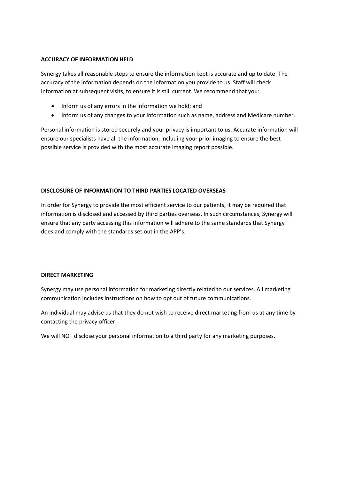## **ACCURACY OF INFORMATION HELD**

Synergy takes all reasonable steps to ensure the information kept is accurate and up to date. The accuracy of the information depends on the information you provide to us. Staff will check information at subsequent visits, to ensure it is still current. We recommend that you:

- Inform us of any errors in the information we hold; and
- Inform us of any changes to your information such as name, address and Medicare number.

Personal information is stored securely and your privacy is important to us. Accurate information will ensure our specialists have all the information, including your prior imaging to ensure the best possible service is provided with the most accurate imaging report possible.

# **DISCLOSURE OF INFORMATION TO THIRD PARTIES LOCATED OVERSEAS**

In order for Synergy to provide the most efficient service to our patients, it may be required that information is disclosed and accessed by third parties overseas. In such circumstances, Synergy will ensure that any party accessing this information will adhere to the same standards that Synergy does and comply with the standards set out in the APP's.

# **DIRECT MARKETING**

Synergy may use personal information for marketing directly related to our services. All marketing communication includes instructions on how to opt out of future communications.

An individual may advise us that they do not wish to receive direct marketing from us at any time by contacting the privacy officer.

We will NOT disclose your personal information to a third party for any marketing purposes.